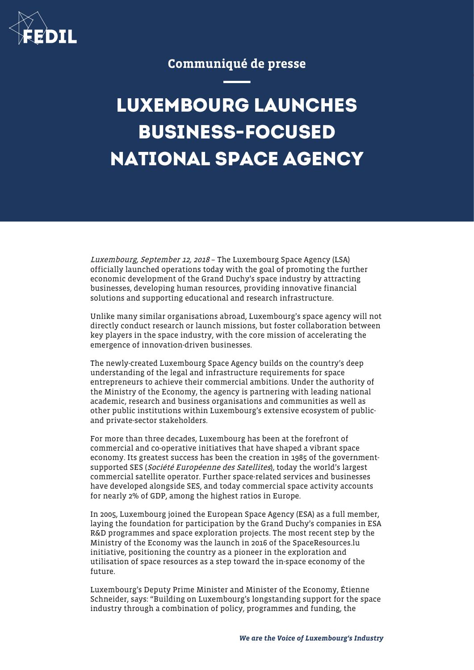

## Communiqué de presse

## **LUXEMBOURG LAUNCHES BUSINESS-FOCUSED NATIONAL SPACE AGENCY**

Luxembourg, September 12, 2018 – The Luxembourg Space Agency (LSA) officially launched operations today with the goal of promoting the further economic development of the Grand Duchy's space industry by attracting businesses, developing human resources, providing innovative financial solutions and supporting educational and research infrastructure.

Unlike many similar organisations abroad, Luxembourg's space agency will not directly conduct research or launch missions, but foster collaboration between key players in the space industry, with the core mission of accelerating the emergence of innovation-driven businesses.

The newly-created Luxembourg Space Agency builds on the country's deep understanding of the legal and infrastructure requirements for space entrepreneurs to achieve their commercial ambitions. Under the authority of the Ministry of the Economy, the agency is partnering with leading national academic, research and business organisations and communities as well as other public institutions within Luxembourg's extensive ecosystem of publicand private-sector stakeholders.

For more than three decades, Luxembourg has been at the forefront of commercial and co-operative initiatives that have shaped a vibrant space economy. Its greatest success has been the creation in 1985 of the governmentsupported SES (Société Européenne des Satellites), today the world's largest commercial satellite operator. Further space-related services and businesses have developed alongside SES, and today commercial space activity accounts for nearly 2% of GDP, among the highest ratios in Europe.

In 2005, Luxembourg joined the European Space Agency (ESA) as a full member, laying the foundation for participation by the Grand Duchy's companies in ESA R&D programmes and space exploration projects. The most recent step by the Ministry of the Economy was the launch in 2016 of the SpaceResources.lu initiative, positioning the country as a pioneer in the exploration and utilisation of space resources as a step toward the in-space economy of the future.

Luxembourg's Deputy Prime Minister and Minister of the Economy, Étienne Schneider, says: "Building on Luxembourg's longstanding support for the space industry through a combination of policy, programmes and funding, the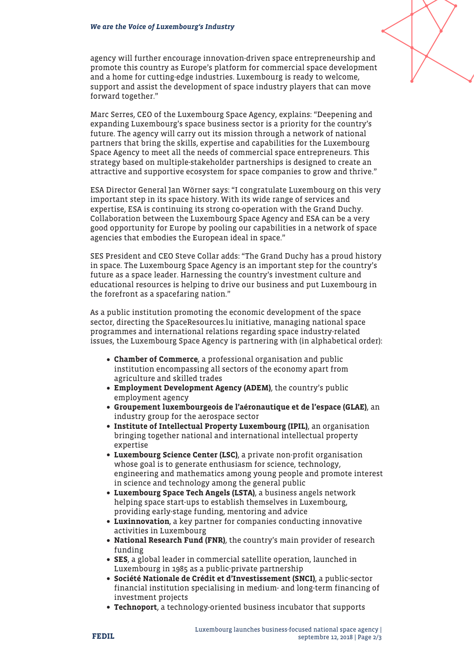agency will further encourage innovation-driven space entrepreneurship and promote this country as Europe's platform for commercial space development and a home for cutting-edge industries. Luxembourg is ready to welcome, support and assist the development of space industry players that can move forward together."

Marc Serres, CEO of the Luxembourg Space Agency, explains: "Deepening and expanding Luxembourg's space business sector is a priority for the country's future. The agency will carry out its mission through a network of national partners that bring the skills, expertise and capabilities for the Luxembourg Space Agency to meet all the needs of commercial space entrepreneurs. This strategy based on multiple-stakeholder partnerships is designed to create an attractive and supportive ecosystem for space companies to grow and thrive."

ESA Director General Jan Wörner says: "I congratulate Luxembourg on this very important step in its space history. With its wide range of services and expertise, ESA is continuing its strong co-operation with the Grand Duchy. Collaboration between the Luxembourg Space Agency and ESA can be a very good opportunity for Europe by pooling our capabilities in a network of space agencies that embodies the European ideal in space."

SES President and CEO Steve Collar adds: "The Grand Duchy has a proud history in space. The Luxembourg Space Agency is an important step for the country's future as a space leader. Harnessing the country's investment culture and educational resources is helping to drive our business and put Luxembourg in the forefront as a spacefaring nation."

As a public institution promoting the economic development of the space sector, directing the SpaceResources.lu initiative, managing national space programmes and international relations regarding space industry-related issues, the Luxembourg Space Agency is partnering with (in alphabetical order):

- Chamber of Commerce, a professional organisation and public institution encompassing all sectors of the economy apart from agriculture and skilled trades
- Employment Development Agency (ADEM), the country's public employment agency
- Groupement luxembourgeois de l'aéronautique et de l'espace (GLAE), an industry group for the aerospace sector
- Institute of Intellectual Property Luxembourg (IPIL), an organisation bringing together national and international intellectual property expertise
- Luxembourg Science Center (LSC), a private non-profit organisation whose goal is to generate enthusiasm for science, technology, engineering and mathematics among young people and promote interest in science and technology among the general public
- Luxembourg Space Tech Angels (LSTA), a business angels network helping space start-ups to establish themselves in Luxembourg, providing early-stage funding, mentoring and advice
- Luxinnovation, a key partner for companies conducting innovative activities in Luxembourg
- National Research Fund (FNR), the country's main provider of research funding
- SES, a global leader in commercial satellite operation, launched in Luxembourg in 1985 as a public-private partnership
- Société Nationale de Crédit et d'Investissement (SNCI), a public-sector financial institution specialising in medium- and long-term financing of investment projects
- Technoport, a technology-oriented business incubator that supports